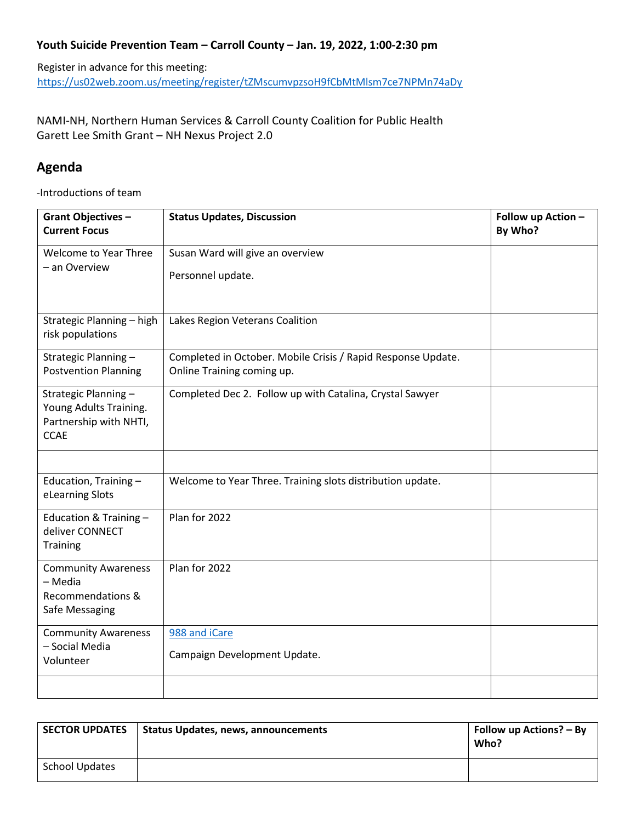## **Youth Suicide Prevention Team – Carroll County – Jan. 19, 2022, 1:00-2:30 pm**

Register in advance for this meeting: <https://us02web.zoom.us/meeting/register/tZMscumvpzsoH9fCbMtMlsm7ce7NPMn74aDy>

NAMI-NH, Northern Human Services & Carroll County Coalition for Public Health Garett Lee Smith Grant – NH Nexus Project 2.0

## **Agenda**

-Introductions of team

| <b>Grant Objectives -</b><br><b>Current Focus</b>                                      | <b>Status Updates, Discussion</b>                                                          | Follow up Action -<br>By Who? |
|----------------------------------------------------------------------------------------|--------------------------------------------------------------------------------------------|-------------------------------|
| Welcome to Year Three<br>- an Overview                                                 | Susan Ward will give an overview<br>Personnel update.                                      |                               |
| Strategic Planning - high<br>risk populations                                          | Lakes Region Veterans Coalition                                                            |                               |
| Strategic Planning -<br><b>Postvention Planning</b>                                    | Completed in October. Mobile Crisis / Rapid Response Update.<br>Online Training coming up. |                               |
| Strategic Planning-<br>Young Adults Training.<br>Partnership with NHTI,<br><b>CCAE</b> | Completed Dec 2. Follow up with Catalina, Crystal Sawyer                                   |                               |
|                                                                                        |                                                                                            |                               |
| Education, Training-<br>eLearning Slots                                                | Welcome to Year Three. Training slots distribution update.                                 |                               |
| Education & Training -<br>deliver CONNECT<br><b>Training</b>                           | Plan for 2022                                                                              |                               |
| <b>Community Awareness</b><br>- Media<br>Recommendations &<br>Safe Messaging           | Plan for 2022                                                                              |                               |
| <b>Community Awareness</b><br>- Social Media<br>Volunteer                              | 988 and iCare<br>Campaign Development Update.                                              |                               |
|                                                                                        |                                                                                            |                               |

| <b>SECTOR UPDATES</b> | <b>Status Updates, news, announcements</b> | Follow up Actions? – By<br>Who? |
|-----------------------|--------------------------------------------|---------------------------------|
| <b>School Updates</b> |                                            |                                 |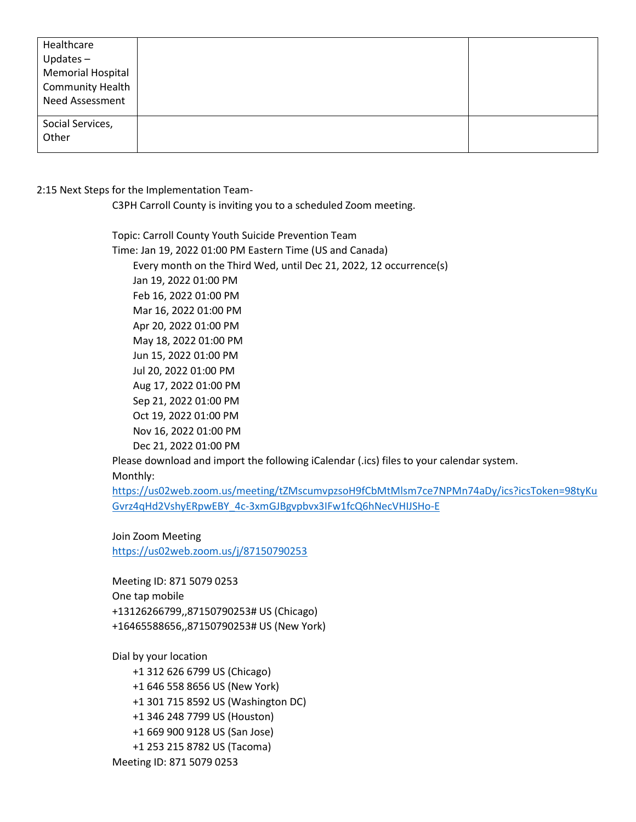| Healthcare<br>Updates $-$<br><b>Memorial Hospital</b><br><b>Community Health</b><br>Need Assessment |  |
|-----------------------------------------------------------------------------------------------------|--|
| Social Services,<br>Other                                                                           |  |

## 2:15 Next Steps for the Implementation Team-

C3PH Carroll County is inviting you to a scheduled Zoom meeting.

Topic: Carroll County Youth Suicide Prevention Team Time: Jan 19, 2022 01:00 PM Eastern Time (US and Canada) Every month on the Third Wed, until Dec 21, 2022, 12 occurrence(s) Jan 19, 2022 01:00 PM Feb 16, 2022 01:00 PM Mar 16, 2022 01:00 PM Apr 20, 2022 01:00 PM May 18, 2022 01:00 PM Jun 15, 2022 01:00 PM Jul 20, 2022 01:00 PM Aug 17, 2022 01:00 PM Sep 21, 2022 01:00 PM Oct 19, 2022 01:00 PM Nov 16, 2022 01:00 PM Dec 21, 2022 01:00 PM Please download and import the following iCalendar (.ics) files to your calendar system.

Monthly:

[https://us02web.zoom.us/meeting/tZMscumvpzsoH9fCbMtMlsm7ce7NPMn74aDy/ics?icsToken=98tyKu](https://us02web.zoom.us/meeting/tZMscumvpzsoH9fCbMtMlsm7ce7NPMn74aDy/ics?icsToken=98tyKuGvrz4qHd2VshyERpwEBY_4c-3xmGJBgvpbvx3IFw1fcQ6hNecVHIJSHo-E) [Gvrz4qHd2VshyERpwEBY\\_4c-3xmGJBgvpbvx3IFw1fcQ6hNecVHIJSHo-E](https://us02web.zoom.us/meeting/tZMscumvpzsoH9fCbMtMlsm7ce7NPMn74aDy/ics?icsToken=98tyKuGvrz4qHd2VshyERpwEBY_4c-3xmGJBgvpbvx3IFw1fcQ6hNecVHIJSHo-E)

Join Zoom Meeting <https://us02web.zoom.us/j/87150790253>

Meeting ID: 871 5079 0253 One tap mobile +13126266799,,87150790253# US (Chicago) +16465588656,,87150790253# US (New York)

Dial by your location

 +1 312 626 6799 US (Chicago) +1 646 558 8656 US (New York) +1 301 715 8592 US (Washington DC) +1 346 248 7799 US (Houston) +1 669 900 9128 US (San Jose) +1 253 215 8782 US (Tacoma) Meeting ID: 871 5079 0253